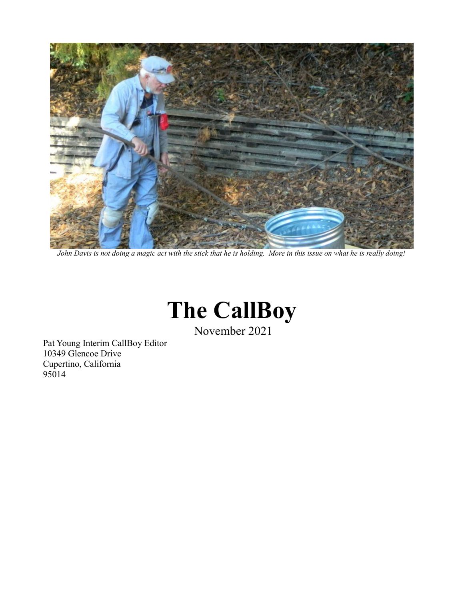

*John Davis is not doing a magic act with the stick that he is holding. More in this issue on what he is really doing!*

# **The CallBoy**

November 2021

Pat Young Interim CallBoy Editor 10349 Glencoe Drive Cupertino, California 95014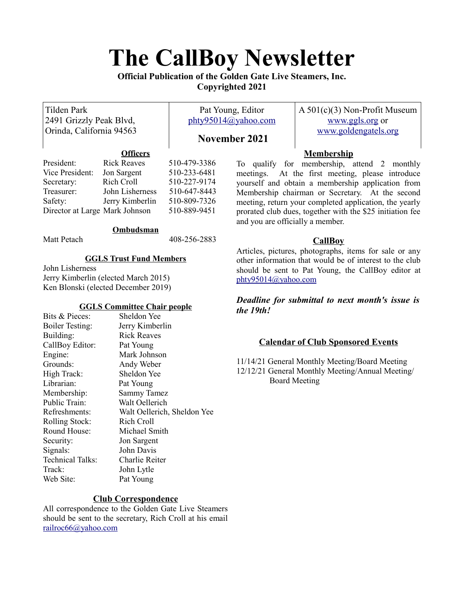# **The CallBoy Newsletter**

**Official Publication of the Golden Gate Live Steamers, Inc. Copyrighted 2021**

| <b>Tilden Park</b><br>2491 Grizzly Peak Blvd,<br>Orinda, California 94563                 |                                                                                              | Pat Young, Editor<br>phty95014@yahoo.com |                                                                                                                                                                                                | $A\,501(c)(3)$ Non-Profit Museum<br>www.ggls.org or       |
|-------------------------------------------------------------------------------------------|----------------------------------------------------------------------------------------------|------------------------------------------|------------------------------------------------------------------------------------------------------------------------------------------------------------------------------------------------|-----------------------------------------------------------|
|                                                                                           |                                                                                              | November 2021                            |                                                                                                                                                                                                | www.goldengatels.org                                      |
|                                                                                           | <b>Officers</b>                                                                              |                                          |                                                                                                                                                                                                | <b>Membership</b>                                         |
| President:                                                                                | <b>Rick Reaves</b>                                                                           | 510-479-3386                             |                                                                                                                                                                                                | To qualify for membership, attend 2 monthly               |
| Vice President:                                                                           | Jon Sargent                                                                                  | 510-233-6481                             |                                                                                                                                                                                                | meetings. At the first meeting, please introduce          |
| Secretary:                                                                                | Rich Croll                                                                                   | 510-227-9174                             | yourself and obtain a membership application from                                                                                                                                              |                                                           |
| Treasurer:                                                                                | John Lisherness                                                                              | 510-647-8443                             | Membership chairman or Secretary. At the second                                                                                                                                                |                                                           |
| Safety:                                                                                   | Jerry Kimberlin                                                                              | 510-809-7326                             | meeting, return your completed application, the yearly                                                                                                                                         |                                                           |
| Director at Large Mark Johnson                                                            |                                                                                              | 510-889-9451                             | and you are officially a member.                                                                                                                                                               | prorated club dues, together with the \$25 initiation fee |
|                                                                                           | Ombudsman                                                                                    |                                          |                                                                                                                                                                                                |                                                           |
| Matt Petach                                                                               |                                                                                              | 408-256-2883                             |                                                                                                                                                                                                | <b>CallBoy</b>                                            |
| <b>GGLS Trust Fund Members</b><br>John Lisherness<br>Jerry Kimberlin (elected March 2015) |                                                                                              |                                          | Articles, pictures, photographs, items for sale or any<br>other information that would be of interest to the club<br>should be sent to Pat Young, the CallBoy editor at<br>phty95014@yahoo.com |                                                           |
| Ken Blonski (elected December 2019)                                                       |                                                                                              |                                          |                                                                                                                                                                                                |                                                           |
| Bits & Pieces:<br>$\Delta$                                                                | <b>GGLS Committee Chair people</b><br>Sheldon Yee<br>$I_{\text{orry}}$ $V_{\text{imhorlin}}$ |                                          | the 19th!                                                                                                                                                                                      | Deadline for submittal to next month's issue is           |

# **Calendar of Club Sponsored Events**

11/14/21 General Monthly Meeting/Board Meeting 12/12/21 General Monthly Meeting/Annual Meeting/ Board Meeting

| Bits & Pieces:          | Sheldon Yee                 |
|-------------------------|-----------------------------|
| <b>Boiler Testing:</b>  | Jerry Kimberlin             |
| Building:               | <b>Rick Reaves</b>          |
| CallBoy Editor:         | Pat Young                   |
| Engine:                 | Mark Johnson                |
| Grounds:                | Andy Weber                  |
| High Track:             | Sheldon Yee                 |
| Librarian:              | Pat Young                   |
| Membership:             | Sammy Tamez                 |
| Public Train:           | Walt Oellerich              |
| Refreshments:           | Walt Oellerich, Sheldon Yee |
| Rolling Stock:          | Rich Croll                  |
| Round House:            | Michael Smith               |
| Security:               | Jon Sargent                 |
| Signals:                | John Davis                  |
| <b>Technical Talks:</b> | Charlie Reiter              |
| Track:                  | John Lytle                  |
| Web Site:               | Pat Young                   |
|                         |                             |

### **Club Correspondence**

All correspondence to the Golden Gate Live Steamers should be sent to the secretary, Rich Croll at his email [railroc66@yahoo.com](mailto:railroc66@yahoo.com)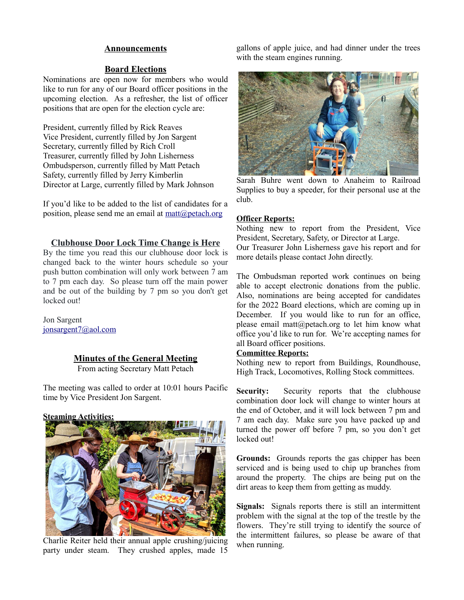#### **Announcements**

#### **Board Elections**

Nominations are open now for members who would like to run for any of our Board officer positions in the upcoming election. As a refresher, the list of officer positions that are open for the election cycle are:

President, currently filled by Rick Reaves Vice President, currently filled by Jon Sargent Secretary, currently filled by Rich Croll Treasurer, currently filled by John Lisherness Ombudsperson, currently filled by Matt Petach Safety, currently filled by Jerry Kimberlin Director at Large, currently filled by Mark Johnson

If you'd like to be added to the list of candidates for a position, please send me an email at  $\text{matt}(\hat{\omega})$  petach.org

#### **Clubhouse Door Lock Time Change is Here**

By the time you read this our clubhouse door lock is changed back to the winter hours schedule so your push button combination will only work between 7 am to 7 pm each day. So please turn off the main power and be out of the building by 7 pm so you don't get locked out!

Jon Sargent [jonsargent7@aol.com](mailto:jonsargent7@aol.com)

#### **Minutes of the General Meeting**

From acting Secretary Matt Petach

The meeting was called to order at 10:01 hours Pacific time by Vice President Jon Sargent.

#### **Steaming Activities:**



Charlie Reiter held their annual apple crushing/juicing party under steam. They crushed apples, made 15

gallons of apple juice, and had dinner under the trees with the steam engines running.



Sarah Buhre went down to Anaheim to Railroad Supplies to buy a speeder, for their personal use at the club.

#### **Officer Reports:**

Nothing new to report from the President, Vice President, Secretary, Safety, or Director at Large. Our Treasurer John Lisherness gave his report and for more details please contact John directly.

The Ombudsman reported work continues on being able to accept electronic donations from the public. Also, nominations are being accepted for candidates for the 2022 Board elections, which are coming up in December. If you would like to run for an office, please email matt@petach.org to let him know what office you'd like to run for. We're accepting names for all Board officer positions.

#### **Committee Reports:**

Nothing new to report from Buildings, Roundhouse, High Track, Locomotives, Rolling Stock committees.

**Security:** Security reports that the clubhouse combination door lock will change to winter hours at the end of October, and it will lock between 7 pm and 7 am each day. Make sure you have packed up and turned the power off before 7 pm, so you don't get locked out!

**Grounds:** Grounds reports the gas chipper has been serviced and is being used to chip up branches from around the property. The chips are being put on the dirt areas to keep them from getting as muddy.

**Signals:** Signals reports there is still an intermittent problem with the signal at the top of the trestle by the flowers. They're still trying to identify the source of the intermittent failures, so please be aware of that when running.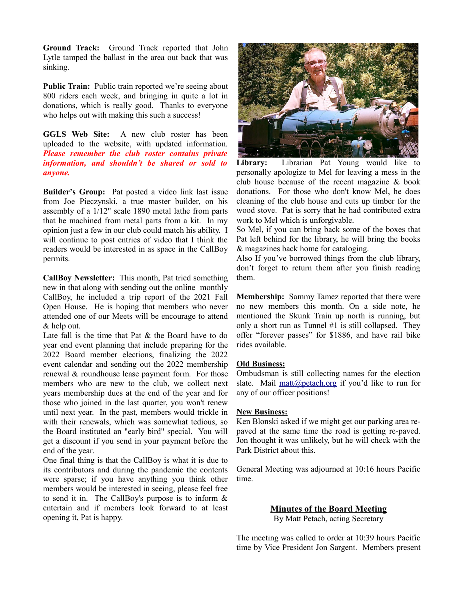**Ground Track:** Ground Track reported that John Lytle tamped the ballast in the area out back that was sinking.

**Public Train:** Public train reported we're seeing about 800 riders each week, and bringing in quite a lot in donations, which is really good. Thanks to everyone who helps out with making this such a success!

**GGLS Web Site:** A new club roster has been uploaded to the website, with updated information. *Please remember the club roster contains private information, and shouldn't be shared or sold to anyone.*

**Builder's Group:** Pat posted a video link last issue from Joe Pieczynski, a true master builder, on his assembly of a 1/12" scale 1890 metal lathe from parts that he machined from metal parts from a kit. In my opinion just a few in our club could match his ability. I will continue to post entries of video that I think the readers would be interested in as space in the CallBoy permits.

**CallBoy Newsletter:** This month, Pat tried something new in that along with sending out the online monthly CallBoy, he included a trip report of the 2021 Fall Open House. He is hoping that members who never attended one of our Meets will be encourage to attend & help out.

Late fall is the time that Pat & the Board have to do year end event planning that include preparing for the 2022 Board member elections, finalizing the 2022 event calendar and sending out the 2022 membership renewal & roundhouse lease payment form. For those members who are new to the club, we collect next years membership dues at the end of the year and for those who joined in the last quarter, you won't renew until next year. In the past, members would trickle in with their renewals, which was somewhat tedious, so the Board instituted an "early bird" special. You will get a discount if you send in your payment before the end of the year.

One final thing is that the CallBoy is what it is due to its contributors and during the pandemic the contents were sparse; if you have anything you think other members would be interested in seeing, please feel free to send it in. The CallBoy's purpose is to inform & entertain and if members look forward to at least opening it, Pat is happy.



**Library:** Librarian Pat Young would like to personally apologize to Mel for leaving a mess in the club house because of the recent magazine & book donations. For those who don't know Mel, he does cleaning of the club house and cuts up timber for the wood stove. Pat is sorry that he had contributed extra work to Mel which is unforgivable.

So Mel, if you can bring back some of the boxes that Pat left behind for the library, he will bring the books & magazines back home for cataloging.

Also If you've borrowed things from the club library, don't forget to return them after you finish reading them.

**Membership:** Sammy Tamez reported that there were no new members this month. On a side note, he mentioned the Skunk Train up north is running, but only a short run as Tunnel #1 is still collapsed. They offer "forever passes" for \$1886, and have rail bike rides available.

#### **Old Business:**

Ombudsman is still collecting names for the election slate. Mail [matt@petach.org](mailto:matt@petach.org) if you'd like to run for any of our officer positions!

#### **New Business:**

Ken Blonski asked if we might get our parking area repaved at the same time the road is getting re-paved. Jon thought it was unlikely, but he will check with the Park District about this.

General Meeting was adjourned at 10:16 hours Pacific time.

**Minutes of the Board Meeting**

By Matt Petach, acting Secretary

The meeting was called to order at 10:39 hours Pacific time by Vice President Jon Sargent. Members present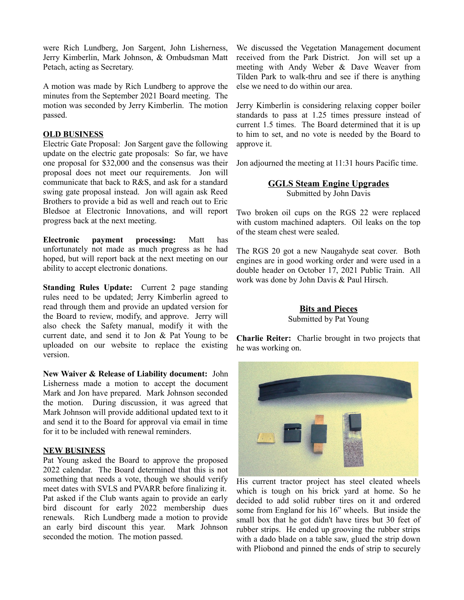were Rich Lundberg, Jon Sargent, John Lisherness, Jerry Kimberlin, Mark Johnson, & Ombudsman Matt Petach, acting as Secretary.

A motion was made by Rich Lundberg to approve the minutes from the September 2021 Board meeting. The motion was seconded by Jerry Kimberlin. The motion passed.

#### **OLD BUSINESS**

Electric Gate Proposal: Jon Sargent gave the following update on the electric gate proposals: So far, we have one proposal for \$32,000 and the consensus was their proposal does not meet our requirements. Jon will communicate that back to R&S, and ask for a standard swing gate proposal instead. Jon will again ask Reed Brothers to provide a bid as well and reach out to Eric Bledsoe at Electronic Innovations, and will report progress back at the next meeting.

**Electronic payment processing:** Matt has unfortunately not made as much progress as he had hoped, but will report back at the next meeting on our ability to accept electronic donations.

**Standing Rules Update:** Current 2 page standing rules need to be updated; Jerry Kimberlin agreed to read through them and provide an updated version for the Board to review, modify, and approve. Jerry will also check the Safety manual, modify it with the current date, and send it to Jon & Pat Young to be uploaded on our website to replace the existing version.

**New Waiver & Release of Liability document:** John Lisherness made a motion to accept the document Mark and Jon have prepared. Mark Johnson seconded the motion. During discussion, it was agreed that Mark Johnson will provide additional updated text to it and send it to the Board for approval via email in time for it to be included with renewal reminders.

#### **NEW BUSINESS**

Pat Young asked the Board to approve the proposed 2022 calendar. The Board determined that this is not something that needs a vote, though we should verify meet dates with SVLS and PVARR before finalizing it. Pat asked if the Club wants again to provide an early bird discount for early 2022 membership dues renewals. Rich Lundberg made a motion to provide an early bird discount this year. Mark Johnson seconded the motion. The motion passed.

We discussed the Vegetation Management document received from the Park District. Jon will set up a meeting with Andy Weber & Dave Weaver from Tilden Park to walk-thru and see if there is anything else we need to do within our area.

Jerry Kimberlin is considering relaxing copper boiler standards to pass at 1.25 times pressure instead of current 1.5 times. The Board determined that it is up to him to set, and no vote is needed by the Board to approve it.

Jon adjourned the meeting at 11:31 hours Pacific time.

# **GGLS Steam Engine Upgrades**

Submitted by John Davis

Two broken oil cups on the RGS 22 were replaced with custom machined adapters. Oil leaks on the top of the steam chest were sealed.

The RGS 20 got a new Naugahyde seat cover. Both engines are in good working order and were used in a double header on October 17, 2021 Public Train. All work was done by John Davis & Paul Hirsch.

# **Bits and Pieces** Submitted by Pat Young

**Charlie Reiter:** Charlie brought in two projects that he was working on.



His current tractor project has steel cleated wheels which is tough on his brick yard at home. So he decided to add solid rubber tires on it and ordered some from England for his 16" wheels. But inside the small box that he got didn't have tires but 30 feet of rubber strips. He ended up grooving the rubber strips with a dado blade on a table saw, glued the strip down with Pliobond and pinned the ends of strip to securely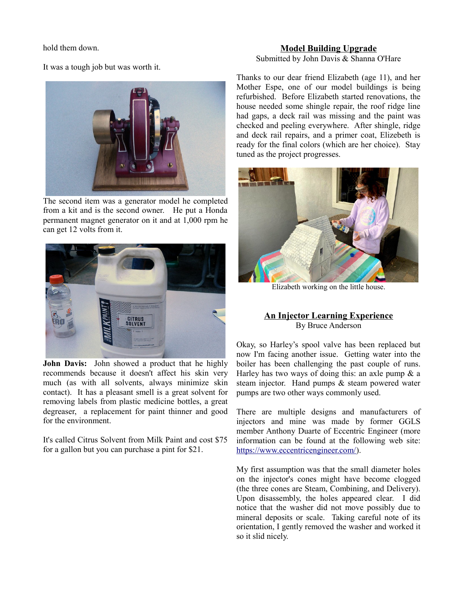hold them down.

It was a tough job but was worth it.



The second item was a generator model he completed from a kit and is the second owner. He put a Honda permanent magnet generator on it and at 1,000 rpm he can get 12 volts from it.



**John Davis:** John showed a product that he highly recommends because it doesn't affect his skin very much (as with all solvents, always minimize skin contact). It has a pleasant smell is a great solvent for removing labels from plastic medicine bottles, a great degreaser, a replacement for paint thinner and good for the environment.

It's called Citrus Solvent from Milk Paint and cost \$75 for a gallon but you can purchase a pint for \$21.

#### **Model Building Upgrade** Submitted by John Davis & Shanna O'Hare

Thanks to our dear friend Elizabeth (age 11), and her Mother Espe, one of our model buildings is being refurbished. Before Elizabeth started renovations, the house needed some shingle repair, the roof ridge line had gaps, a deck rail was missing and the paint was checked and peeling everywhere. After shingle, ridge and deck rail repairs, and a primer coat, Elizebeth is ready for the final colors (which are her choice). Stay tuned as the project progresses.



Elizabeth working on the little house.

### **An Injector Learning Experience** By Bruce Anderson

Okay, so Harley's spool valve has been replaced but now I'm facing another issue. Getting water into the boiler has been challenging the past couple of runs. Harley has two ways of doing this: an axle pump  $\&$  a steam injector. Hand pumps & steam powered water pumps are two other ways commonly used.

There are multiple designs and manufacturers of injectors and mine was made by former GGLS member Anthony Duarte of Eccentric Engineer (more information can be found at the following web site: [https://www.eccentricengineer.com/\)](https://www.eccentricengineer.com/).

My first assumption was that the small diameter holes on the injector's cones might have become clogged (the three cones are Steam, Combining, and Delivery). Upon disassembly, the holes appeared clear. I did notice that the washer did not move possibly due to mineral deposits or scale. Taking careful note of its orientation, I gently removed the washer and worked it so it slid nicely.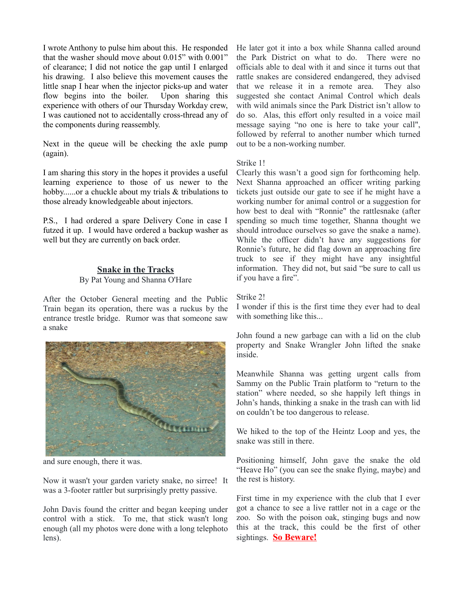I wrote Anthony to pulse him about this. He responded that the washer should move about 0.015" with 0.001" of clearance; I did not notice the gap until I enlarged his drawing. I also believe this movement causes the little snap I hear when the injector picks-up and water flow begins into the boiler. Upon sharing this experience with others of our Thursday Workday crew, I was cautioned not to accidentally cross-thread any of the components during reassembly.

Next in the queue will be checking the axle pump (again).

I am sharing this story in the hopes it provides a useful learning experience to those of us newer to the hobby......or a chuckle about my trials & tribulations to those already knowledgeable about injectors.

P.S., I had ordered a spare Delivery Cone in case I futzed it up. I would have ordered a backup washer as well but they are currently on back order.

## **Snake in the Tracks**

#### By Pat Young and Shanna O'Hare

After the October General meeting and the Public Train began its operation, there was a ruckus by the entrance trestle bridge. Rumor was that someone saw a snake



and sure enough, there it was.

Now it wasn't your garden variety snake, no sirree! It was a 3-footer rattler but surprisingly pretty passive.

John Davis found the critter and began keeping under control with a stick. To me, that stick wasn't long enough (all my photos were done with a long telephoto lens).

He later got it into a box while Shanna called around the Park District on what to do. There were no officials able to deal with it and since it turns out that rattle snakes are considered endangered, they advised that we release it in a remote area. They also suggested she contact Animal Control which deals with wild animals since the Park District isn't allow to do so. Alas, this effort only resulted in a voice mail message saying "no one is here to take your call", followed by referral to another number which turned out to be a non-working number.

#### Strike 1!

Clearly this wasn't a good sign for forthcoming help. Next Shanna approached an officer writing parking tickets just outside our gate to see if he might have a working number for animal control or a suggestion for how best to deal with "Ronnie" the rattlesnake (after spending so much time together, Shanna thought we should introduce ourselves so gave the snake a name). While the officer didn't have any suggestions for Ronnie's future, he did flag down an approaching fire truck to see if they might have any insightful information. They did not, but said "be sure to call us if you have a fire".

#### Strike 2!

I wonder if this is the first time they ever had to deal with something like this...

John found a new garbage can with a lid on the club property and Snake Wrangler John lifted the snake inside.

Meanwhile Shanna was getting urgent calls from Sammy on the Public Train platform to "return to the station" where needed, so she happily left things in John's hands, thinking a snake in the trash can with lid on couldn't be too dangerous to release.

We hiked to the top of the Heintz Loop and yes, the snake was still in there.

Positioning himself, John gave the snake the old "Heave Ho" (you can see the snake flying, maybe) and the rest is history.

First time in my experience with the club that I ever got a chance to see a live rattler not in a cage or the zoo. So with the poison oak, stinging bugs and now this at the track, this could be the first of other sightings. **So Beware!**